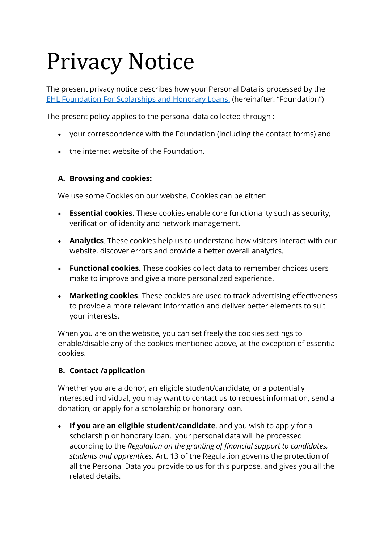# Privacy Notice

The present privacy notice describes how your Personal Data is processed by the [EHL Foundation For Scolarships and Honorary Loans.](https://www.rc2.vd.ch/registres/hrcintapp-pub/companyReport.action?lang=EN&rcentId=11793476200000055031025&searchLang=&order=F&rad=N&goToAdm=false&showHeader=false&reportNotFound=false) (hereinafter: "Foundation")

The present policy applies to the personal data collected through :

- your correspondence with the Foundation (including the contact forms) and
- the internet website of the Foundation.

## **A. Browsing and cookies:**

We use some Cookies on our website. Cookies can be either:

- **Essential cookies.** These cookies enable core functionality such as security, verification of identity and network management.
- **Analytics**. These cookies help us to understand how visitors interact with our website, discover errors and provide a better overall analytics.
- **Functional cookies**. These cookies collect data to remember choices users make to improve and give a more personalized experience.
- **Marketing cookies**. These cookies are used to track advertising effectiveness to provide a more relevant information and deliver better elements to suit your interests.

When you are on the website, you can set freely the cookies settings to enable/disable any of the cookies mentioned above, at the exception of essential cookies.

# **B. Contact /application**

Whether you are a donor, an eligible student/candidate, or a potentially interested individual, you may want to contact us to request information, send a donation, or apply for a scholarship or honorary loan.

• **If you are an eligible student/candidate**, and you wish to apply for a scholarship or honorary loan, your personal data will be processed according to the *Regulation on the granting of financial support to candidates, students and apprentices.* Art. 13 of the Regulation governs the protection of all the Personal Data you provide to us for this purpose, and gives you all the related details.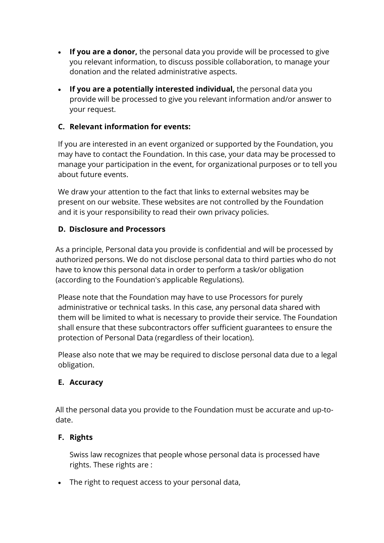- **If you are a donor,** the personal data you provide will be processed to give you relevant information, to discuss possible collaboration, to manage your donation and the related administrative aspects.
- **If you are a potentially interested individual,** the personal data you provide will be processed to give you relevant information and/or answer to your request.

## **C. Relevant information for events:**

If you are interested in an event organized or supported by the Foundation, you may have to contact the Foundation. In this case, your data may be processed to manage your participation in the event, for organizational purposes or to tell you about future events.

We draw your attention to the fact that links to external websites may be present on our website. These websites are not controlled by the Foundation and it is your responsibility to read their own privacy policies.

## **D. Disclosure and Processors**

As a principle, Personal data you provide is confidential and will be processed by authorized persons. We do not disclose personal data to third parties who do not have to know this personal data in order to perform a task/or obligation (according to the Foundation's applicable Regulations).

Please note that the Foundation may have to use Processors for purely administrative or technical tasks. In this case, any personal data shared with them will be limited to what is necessary to provide their service. The Foundation shall ensure that these subcontractors offer sufficient guarantees to ensure the protection of Personal Data (regardless of their location).

Please also note that we may be required to disclose personal data due to a legal obligation.

## **E. Accuracy**

All the personal data you provide to the Foundation must be accurate and up-todate.

# **F. Rights**

Swiss law recognizes that people whose personal data is processed have rights. These rights are :

• The right to request access to your personal data,